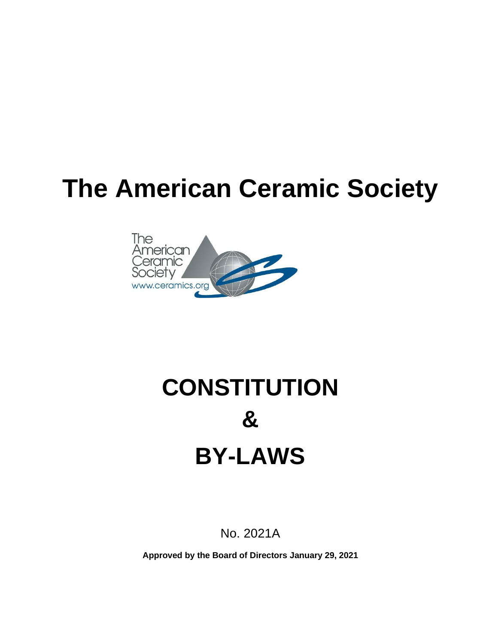# **The American Ceramic Society**



# **CONSTITUTION & BY-LAWS**

No. 2021A

**Approved by the Board of Directors January 29, 2021**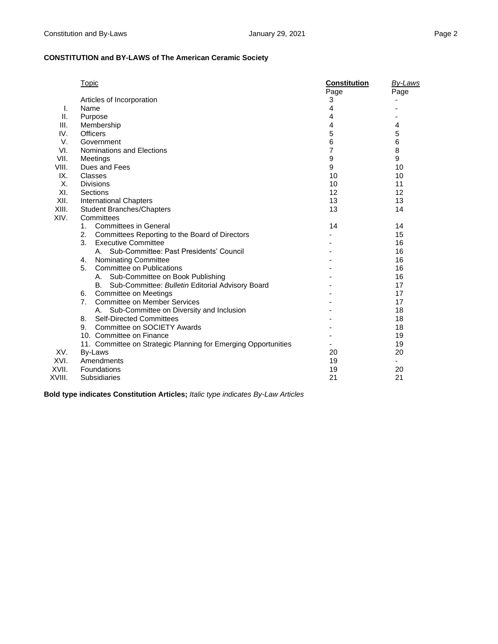|        | <b>Topic</b>                                                   | <b>Constitution</b> | By-Laws |
|--------|----------------------------------------------------------------|---------------------|---------|
|        |                                                                | Page                | Page    |
|        | Articles of Incorporation                                      | 3                   |         |
| I.     | Name                                                           | 4                   |         |
| Ш.     | Purpose                                                        | 4                   |         |
| III.   | Membership                                                     | 4                   | 4       |
| IV.    | <b>Officers</b>                                                | 5                   | 5       |
| V.     | Government                                                     | 6                   | 6       |
| VI.    | Nominations and Elections                                      | 7                   | 8       |
| VII.   | Meetings                                                       | 9                   | 9       |
| VIII.  | Dues and Fees                                                  | 9                   | 10      |
| IX.    | Classes                                                        | 10                  | 10      |
| X.     | <b>Divisions</b>                                               | 10                  | 11      |
| XI.    | Sections                                                       | 12                  | 12      |
| XII.   | <b>International Chapters</b>                                  | 13                  | 13      |
| XIII.  | <b>Student Branches/Chapters</b>                               | 13                  | 14      |
| XIV.   | Committees                                                     |                     |         |
|        | <b>Committees in General</b><br>1.                             | 14                  | 14      |
|        | 2.<br>Committees Reporting to the Board of Directors           |                     | 15      |
|        | 3.<br><b>Executive Committee</b>                               |                     | 16      |
|        | A. Sub-Committee: Past Presidents' Council                     |                     | 16      |
|        | <b>Nominating Committee</b><br>4.                              |                     | 16      |
|        | 5.<br><b>Committee on Publications</b>                         |                     | 16      |
|        | A. Sub-Committee on Book Publishing                            |                     | 16      |
|        | Sub-Committee: Bulletin Editorial Advisory Board<br>B.         |                     | 17      |
|        | Committee on Meetings<br>6.                                    |                     | 17      |
|        | 7.<br><b>Committee on Member Services</b>                      |                     | 17      |
|        | Sub-Committee on Diversity and Inclusion<br>А.                 |                     | 18      |
|        | <b>Self-Directed Committees</b><br>8.                          |                     | 18      |
|        | Committee on SOCIETY Awards<br>9.                              |                     | 18      |
|        | 10. Committee on Finance                                       |                     | 19      |
|        | 11. Committee on Strategic Planning for Emerging Opportunities |                     | 19      |
| XV.    | By-Laws                                                        | 20                  | 20      |
| XVI.   | Amendments                                                     | 19                  |         |
| XVII.  | <b>Foundations</b>                                             | 19                  | 20      |
| XVIII. | Subsidiaries                                                   | 21                  | 21      |

**Bold type indicates Constitution Articles;** *Italic type indicates By-Law Articles*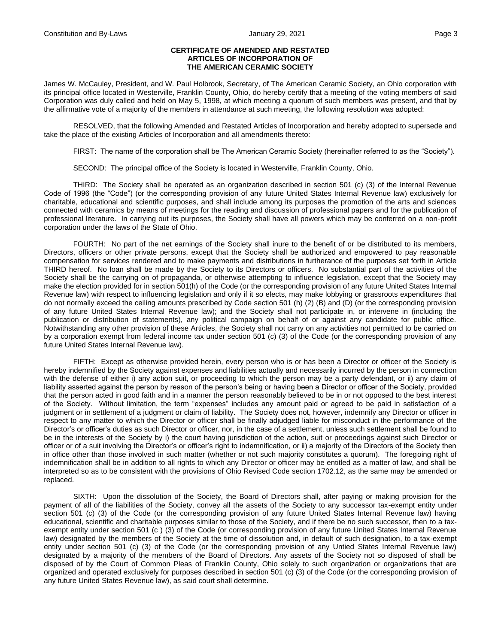#### **CERTIFICATE OF AMENDED AND RESTATED ARTICLES OF INCORPORATION OF THE AMERICAN CERAMIC SOCIETY**

James W. McCauley, President, and W. Paul Holbrook, Secretary, of The American Ceramic Society, an Ohio corporation with its principal office located in Westerville, Franklin County, Ohio, do hereby certify that a meeting of the voting members of said Corporation was duly called and held on May 5, 1998, at which meeting a quorum of such members was present, and that by the affirmative vote of a majority of the members in attendance at such meeting, the following resolution was adopted:

RESOLVED, that the following Amended and Restated Articles of Incorporation and hereby adopted to supersede and take the place of the existing Articles of Incorporation and all amendments thereto:

FIRST: The name of the corporation shall be The American Ceramic Society (hereinafter referred to as the "Society").

SECOND: The principal office of the Society is located in Westerville, Franklin County, Ohio.

THIRD: The Society shall be operated as an organization described in section 501 (c) (3) of the Internal Revenue Code of 1996 (the "Code") (or the corresponding provision of any future United States Internal Revenue law) exclusively for charitable, educational and scientific purposes, and shall include among its purposes the promotion of the arts and sciences connected with ceramics by means of meetings for the reading and discussion of professional papers and for the publication of professional literature. In carrying out its purposes, the Society shall have all powers which may be conferred on a non-profit corporation under the laws of the State of Ohio.

FOURTH: No part of the net earnings of the Society shall inure to the benefit of or be distributed to its members, Directors, officers or other private persons, except that the Society shall be authorized and empowered to pay reasonable compensation for services rendered and to make payments and distributions in furtherance of the purposes set forth in Article THIRD hereof. No loan shall be made by the Society to its Directors or officers. No substantial part of the activities of the Society shall be the carrying on of propaganda, or otherwise attempting to influence legislation, except that the Society may make the election provided for in section 501(h) of the Code (or the corresponding provision of any future United States Internal Revenue law) with respect to influencing legislation and only if it so elects, may make lobbying or grassroots expenditures that do not normally exceed the ceiling amounts prescribed by Code section 501 (h) (2) (B) and (D) (or the corresponding provision of any future United States Internal Revenue law); and the Society shall not participate in, or intervene in (including the publication or distribution of statements), any political campaign on behalf of or against any candidate for public office. Notwithstanding any other provision of these Articles, the Society shall not carry on any activities not permitted to be carried on by a corporation exempt from federal income tax under section 501 (c) (3) of the Code (or the corresponding provision of any future United States Internal Revenue law).

FIFTH: Except as otherwise provided herein, every person who is or has been a Director or officer of the Society is hereby indemnified by the Society against expenses and liabilities actually and necessarily incurred by the person in connection with the defense of either i) any action suit, or proceeding to which the person may be a party defendant, or ii) any claim of liability asserted against the person by reason of the person's being or having been a Director or officer of the Society, provided that the person acted in good faith and in a manner the person reasonably believed to be in or not opposed to the best interest of the Society. Without limitation, the term "expenses" includes any amount paid or agreed to be paid in satisfaction of a judgment or in settlement of a judgment or claim of liability. The Society does not, however, indemnify any Director or officer in respect to any matter to which the Director or officer shall be finally adjudged liable for misconduct in the performance of the Director's or officer's duties as such Director or officer, nor, in the case of a settlement, unless such settlement shall be found to be in the interests of the Society by i) the court having jurisdiction of the action, suit or proceedings against such Director or officer or of a suit involving the Director's or officer's right to indemnification, or ii) a majority of the Directors of the Society then in office other than those involved in such matter (whether or not such majority constitutes a quorum). The foregoing right of indemnification shall be in addition to all rights to which any Director or officer may be entitled as a matter of law, and shall be interpreted so as to be consistent with the provisions of Ohio Revised Code section 1702.12, as the same may be amended or replaced.

SIXTH: Upon the dissolution of the Society, the Board of Directors shall, after paying or making provision for the payment of all of the liabilities of the Society, convey all the assets of the Society to any successor tax-exempt entity under section 501 (c) (3) of the Code (or the corresponding provision of any future United States Internal Revenue law) having educational, scientific and charitable purposes similar to those of the Society, and if there be no such successor, then to a taxexempt entity under section 501 (c ) (3) of the Code (or corresponding provision of any future United States Internal Revenue law) designated by the members of the Society at the time of dissolution and, in default of such designation, to a tax-exempt entity under section 501 (c) (3) of the Code (or the corresponding provision of any Untied States Internal Revenue law) designated by a majority of the members of the Board of Directors. Any assets of the Society not so disposed of shall be disposed of by the Court of Common Pleas of Franklin County, Ohio solely to such organization or organizations that are organized and operated exclusively for purposes described in section 501 (c) (3) of the Code (or the corresponding provision of any future United States Revenue law), as said court shall determine.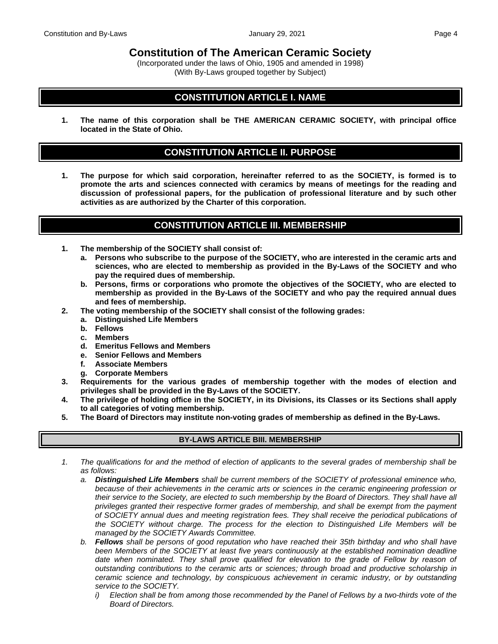**Constitution of The American Ceramic Society**

(Incorporated under the laws of Ohio, 1905 and amended in 1998) (With By-Laws grouped together by Subject)

# **CONSTITUTION ARTICLE I. NAME**

**1. The name of this corporation shall be THE AMERICAN CERAMIC SOCIETY, with principal office located in the State of Ohio.**

## **CONSTITUTION ARTICLE II. PURPOSE**

**1. The purpose for which said corporation, hereinafter referred to as the SOCIETY, is formed is to promote the arts and sciences connected with ceramics by means of meetings for the reading and discussion of professional papers, for the publication of professional literature and by such other activities as are authorized by the Charter of this corporation.**

## **CONSTITUTION ARTICLE III. MEMBERSHIP**

- **1. The membership of the SOCIETY shall consist of:**
	- **a. Persons who subscribe to the purpose of the SOCIETY, who are interested in the ceramic arts and sciences, who are elected to membership as provided in the By-Laws of the SOCIETY and who pay the required dues of membership.**
	- **b. Persons, firms or corporations who promote the objectives of the SOCIETY, who are elected to membership as provided in the By-Laws of the SOCIETY and who pay the required annual dues and fees of membership.**
- **2. The voting membership of the SOCIETY shall consist of the following grades:**
	- **a. Distinguished Life Members**
	- **b. Fellows**
	- **c. Members**
	- **d. Emeritus Fellows and Members**
	- **e. Senior Fellows and Members**
	- **f. Associate Members**
	- **g. Corporate Members**
- **3. Requirements for the various grades of membership together with the modes of election and privileges shall be provided in the By-Laws of the SOCIETY.**
- **4. The privilege of holding office in the SOCIETY, in its Divisions, its Classes or its Sections shall apply to all categories of voting membership.**
- **5. The Board of Directors may institute non-voting grades of membership as defined in the By-Laws.**

#### **BY-LAWS ARTICLE BIII. MEMBERSHIP**

- *1. The qualifications for and the method of election of applicants to the several grades of membership shall be as follows:*
	- *a. Distinguished Life Members shall be current members of the SOCIETY of professional eminence who, because of their achievements in the ceramic arts or sciences in the ceramic engineering profession or their service to the Society, are elected to such membership by the Board of Directors. They shall have all privileges granted their respective former grades of membership, and shall be exempt from the payment of SOCIETY annual dues and meeting registration fees. They shall receive the periodical publications of the SOCIETY without charge. The process for the election to Distinguished Life Members will be managed by the SOCIETY Awards Committee.*
	- *b. Fellows shall be persons of good reputation who have reached their 35th birthday and who shall have been Members of the SOCIETY at least five years continuously at the established nomination deadline* date when nominated. They shall prove qualified for elevation to the grade of Fellow by reason of *outstanding contributions to the ceramic arts or sciences; through broad and productive scholarship in ceramic science and technology, by conspicuous achievement in ceramic industry, or by outstanding service to the SOCIETY.*
		- *i) Election shall be from among those recommended by the Panel of Fellows by a two-thirds vote of the Board of Directors.*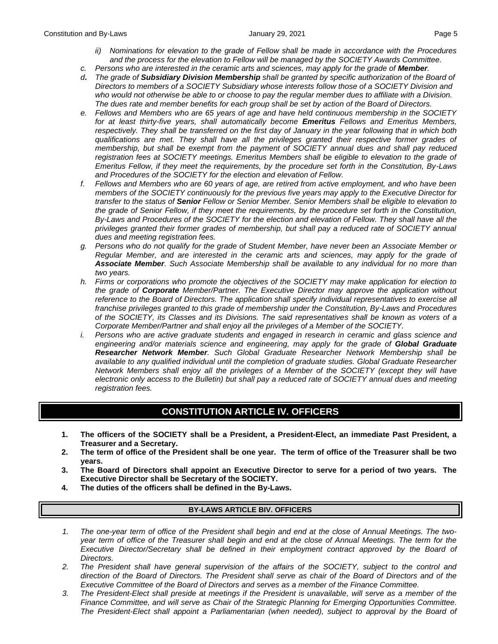- *ii*) Nominations for elevation to the grade of Fellow shall be made in accordance with the Procedures *and the process for the elevation to Fellow will be managed by the SOCIETY Awards Committee.*
- *c. Persons who are interested in the ceramic arts and sciences, may apply for the grade of Member.*
- *d***.** *The grade of Subsidiary Division Membership shall be granted by specific authorization of the Board of Directors to members of a SOCIETY Subsidiary whose interests follow those of a SOCIETY Division and who would not otherwise be able to or choose to pay the regular member dues to affiliate with a Division. The dues rate and member benefits for each group shall be set by action of the Board of Directors.*
- *e. Fellows and Members who are 65 years of age and have held continuous membership in the SOCIETY for at least thirty-five years, shall automatically become Emeritus Fellows and Emeritus Members, respectively. They shall be transferred on the first day of January in the year following that in which both qualifications are met. They shall have all the privileges granted their respective former grades of membership, but shall be exempt from the payment of SOCIETY annual dues and shall pay reduced registration fees at SOCIETY meetings. Emeritus Members shall be eligible to elevation to the grade of Emeritus Fellow, if they meet the requirements, by the procedure set forth in the Constitution, By-Laws and Procedures of the SOCIETY for the election and elevation of Fellow.*
- *f. Fellows and Members who are 60 years of age, are retired from active employment, and who have been members of the SOCIETY continuously for the previous five years may apply to the Executive Director for transfer to the status of Senior Fellow or Senior Member. Senior Members shall be eligible to elevation to the grade of Senior Fellow, if they meet the requirements, by the procedure set forth in the Constitution, By-Laws and Procedures of the SOCIETY for the election and elevation of Fellow. They shall have all the privileges granted their former grades of membership, but shall pay a reduced rate of SOCIETY annual dues and meeting registration fees.*
- *g. Persons who do not qualify for the grade of Student Member, have never been an Associate Member or Regular Member, and are interested in the ceramic arts and sciences, may apply for the grade of Associate Member. Such Associate Membership shall be available to any individual for no more than two years.*
- *h. Firms or corporations who promote the objectives of the SOCIETY may make application for election to the grade of Corporate Member/Partner. The Executive Director may approve the application without reference to the Board of Directors. The application shall specify individual representatives to exercise all franchise privileges granted to this grade of membership under the Constitution, By-Laws and Procedures of the SOCIETY, its Classes and its Divisions. The said representatives shall be known as voters of a Corporate Member/Partner and shall enjoy all the privileges of a Member of the SOCIETY.*
- *i. Persons who are active graduate students and engaged in research in ceramic and glass science and engineering and/or materials science and engineering, may apply for the grade of Global Graduate Researcher Network Member. Such Global Graduate Researcher Network Membership shall be available to any qualified individual until the completion of graduate studies. Global Graduate Researcher Network Members shall enjoy all the privileges of a Member of the SOCIETY (except they will have electronic only access to the Bulletin) but shall pay a reduced rate of SOCIETY annual dues and meeting registration fees.*

# **CONSTITUTION ARTICLE IV. OFFICERS**

- **1. The officers of the SOCIETY shall be a President, a President-Elect, an immediate Past President, a Treasurer and a Secretary.**
- **2. The term of office of the President shall be one year. The term of office of the Treasurer shall be two years.**
- **3. The Board of Directors shall appoint an Executive Director to serve for a period of two years. The Executive Director shall be Secretary of the SOCIETY.**
- **4. The duties of the officers shall be defined in the By-Laws.**

#### **BY-LAWS ARTICLE BIV. OFFICERS**

- *1. The one-year term of office of the President shall begin and end at the close of Annual Meetings. The twoyear term of office of the Treasurer shall begin and end at the close of Annual Meetings. The term for the Executive Director/Secretary shall be defined in their employment contract approved by the Board of Directors.*
- *2. The President shall have general supervision of the affairs of the SOCIETY, subject to the control and direction of the Board of Directors. The President shall serve as chair of the Board of Directors and of the Executive Committee of the Board of Directors and serves as a member of the Finance Committee.*
- *3. The President-Elect shall preside at meetings if the President is unavailable, will serve as a member of the Finance Committee, and will serve as Chair of the Strategic Planning for Emerging Opportunities Committee. The President-Elect shall appoint a Parliamentarian (when needed), subject to approval by the Board of*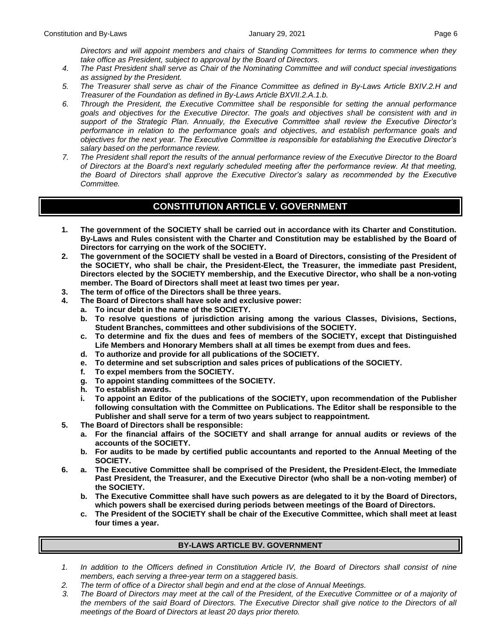*Directors and will appoint members and chairs of Standing Committees for terms to commence when they take office as President, subject to approval by the Board of Directors.*

- *4. The Past President shall serve as Chair of the Nominating Committee and will conduct special investigations as assigned by the President.*
- *5. The Treasurer shall serve as chair of the Finance Committee as defined in By-Laws Article BXIV.2.H and Treasurer of the Foundation as defined in By-Laws Article BXVII.2.A.1.b.*
- *6. Through the President, the Executive Committee shall be responsible for setting the annual performance goals and objectives for the Executive Director. The goals and objectives shall be consistent with and in support of the Strategic Plan. Annually, the Executive Committee shall review the Executive Director's performance in relation to the performance goals and objectives, and establish performance goals and objectives for the next year. The Executive Committee is responsible for establishing the Executive Director's salary based on the performance review.*
- *7. The President shall report the results of the annual performance review of the Executive Director to the Board of Directors at the Board's next regularly scheduled meeting after the performance review. At that meeting, the Board of Directors shall approve the Executive Director's salary as recommended by the Executive Committee.*

# **CONSTITUTION ARTICLE V. GOVERNMENT**

- **1. The government of the SOCIETY shall be carried out in accordance with its Charter and Constitution. By-Laws and Rules consistent with the Charter and Constitution may be established by the Board of Directors for carrying on the work of the SOCIETY.**
- **2. The government of the SOCIETY shall be vested in a Board of Directors, consisting of the President of the SOCIETY, who shall be chair, the President-Elect, the Treasurer, the immediate past President, Directors elected by the SOCIETY membership, and the Executive Director, who shall be a non-voting member. The Board of Directors shall meet at least two times per year.**
- **3. The term of office of the Directors shall be three years.**
- **4. The Board of Directors shall have sole and exclusive power:**
	- **a. To incur debt in the name of the SOCIETY.**
	- **b. To resolve questions of jurisdiction arising among the various Classes, Divisions, Sections, Student Branches, committees and other subdivisions of the SOCIETY.**
	- **c. To determine and fix the dues and fees of members of the SOCIETY, except that Distinguished Life Members and Honorary Members shall at all times be exempt from dues and fees.**
	- **d. To authorize and provide for all publications of the SOCIETY.**
	- **e. To determine and set subscription and sales prices of publications of the SOCIETY.**
	- **f. To expel members from the SOCIETY.**
	- **g. To appoint standing committees of the SOCIETY.**
	- **h. To establish awards.**
	- **i. To appoint an Editor of the publications of the SOCIETY, upon recommendation of the Publisher following consultation with the Committee on Publications. The Editor shall be responsible to the Publisher and shall serve for a term of two years subject to reappointment.**
- **5. The Board of Directors shall be responsible:**
	- **a. For the financial affairs of the SOCIETY and shall arrange for annual audits or reviews of the accounts of the SOCIETY.**
	- **b. For audits to be made by certified public accountants and reported to the Annual Meeting of the SOCIETY.**
- **6. a. The Executive Committee shall be comprised of the President, the President-Elect, the Immediate Past President, the Treasurer, and the Executive Director (who shall be a non-voting member) of the SOCIETY.**
	- **b. The Executive Committee shall have such powers as are delegated to it by the Board of Directors, which powers shall be exercised during periods between meetings of the Board of Directors.**
	- **c. The President of the SOCIETY shall be chair of the Executive Committee, which shall meet at least four times a year.**

#### **BY-LAWS ARTICLE BV. GOVERNMENT**

- *1. In addition to the Officers defined in Constitution Article IV, the Board of Directors shall consist of nine members, each serving a three-year term on a staggered basis.*
- *2. The term of office of a Director shall begin and end at the close of Annual Meetings.*
- *3. The Board of Directors may meet at the call of the President, of the Executive Committee or of a majority of the members of the said Board of Directors. The Executive Director shall give notice to the Directors of all meetings of the Board of Directors at least 20 days prior thereto.*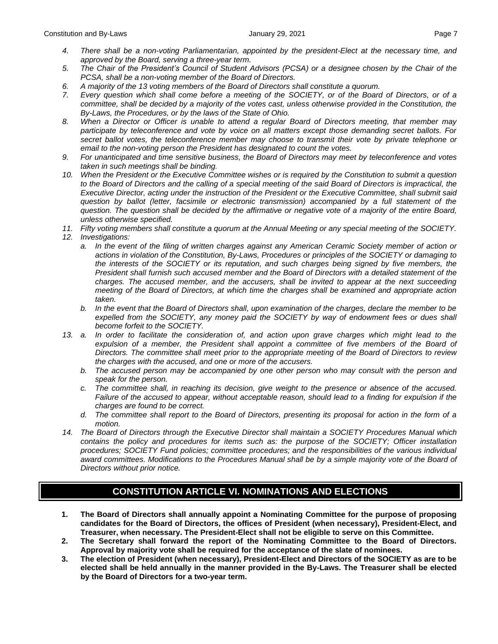- 
- *4. There shall be a non-voting Parliamentarian, appointed by the president-Elect at the necessary time, and approved by the Board, serving a three-year term.*
- *5. The Chair of the President's Council of Student Advisors (PCSA) or a designee chosen by the Chair of the PCSA, shall be a non-voting member of the Board of Directors.*
- *6. A majority of the 13 voting members of the Board of Directors shall constitute a quorum.*
- *7. Every question which shall come before a meeting of the SOCIETY, or of the Board of Directors, or of a committee, shall be decided by a majority of the votes cast, unless otherwise provided in the Constitution, the By-Laws, the Procedures, or by the laws of the State of Ohio.*
- *8. When a Director or Officer is unable to attend a regular Board of Directors meeting, that member may participate by teleconference and vote by voice on all matters except those demanding secret ballots. For secret ballot votes, the teleconference member may choose to transmit their vote by private telephone or email to the non-voting person the President has designated to count the votes.*
- *9. For unanticipated and time sensitive business, the Board of Directors may meet by teleconference and votes taken in such meetings shall be binding.*
- *10. When the President or the Executive Committee wishes or is required by the Constitution to submit a question to the Board of Directors and the calling of a special meeting of the said Board of Directors is impractical, the Executive Director, acting under the instruction of the President or the Executive Committee, shall submit said question by ballot (letter, facsimile or electronic transmission) accompanied by a full statement of the question. The question shall be decided by the affirmative or negative vote of a majority of the entire Board, unless otherwise specified.*
- *11. Fifty voting members shall constitute a quorum at the Annual Meeting or any special meeting of the SOCIETY.*
- *12. Investigations:*
	- *a. In the event of the filing of written charges against any American Ceramic Society member of action or actions in violation of the Constitution, By-Laws, Procedures or principles of the SOCIETY or damaging to the interests of the SOCIETY or its reputation, and such charges being signed by five members, the President shall furnish such accused member and the Board of Directors with a detailed statement of the charges. The accused member, and the accusers, shall be invited to appear at the next succeeding meeting of the Board of Directors, at which time the charges shall be examined and appropriate action taken.*
	- *b. In the event that the Board of Directors shall, upon examination of the charges, declare the member to be expelled from the SOCIETY, any money paid the SOCIETY by way of endowment fees or dues shall become forfeit to the SOCIETY.*
- *13. a. In order to facilitate the consideration of, and action upon grave charges which might lead to the*  expulsion of a member, the President shall appoint a committee of five members of the Board of *Directors. The committee shall meet prior to the appropriate meeting of the Board of Directors to review the charges with the accused, and one or more of the accusers.*
	- *b. The accused person may be accompanied by one other person who may consult with the person and speak for the person.*
	- *c. The committee shall, in reaching its decision, give weight to the presence or absence of the accused. Failure of the accused to appear, without acceptable reason, should lead to a finding for expulsion if the charges are found to be correct.*
	- *d. The committee shall report to the Board of Directors, presenting its proposal for action in the form of a motion.*
- *14. The Board of Directors through the Executive Director shall maintain a SOCIETY Procedures Manual which contains the policy and procedures for items such as: the purpose of the SOCIETY; Officer installation procedures; SOCIETY Fund policies; committee procedures; and the responsibilities of the various individual award committees. Modifications to the Procedures Manual shall be by a simple majority vote of the Board of Directors without prior notice.*

# **CONSTITUTION ARTICLE VI. NOMINATIONS AND ELECTIONS**

- **1. The Board of Directors shall annually appoint a Nominating Committee for the purpose of proposing candidates for the Board of Directors, the offices of President (when necessary), President-Elect, and Treasurer, when necessary. The President-Elect shall not be eligible to serve on this Committee.**
- **2. The Secretary shall forward the report of the Nominating Committee to the Board of Directors. Approval by majority vote shall be required for the acceptance of the slate of nominees.**
- **3. The election of President (when necessary), President-Elect and Directors of the SOCIETY as are to be elected shall be held annually in the manner provided in the By-Laws. The Treasurer shall be elected by the Board of Directors for a two-year term.**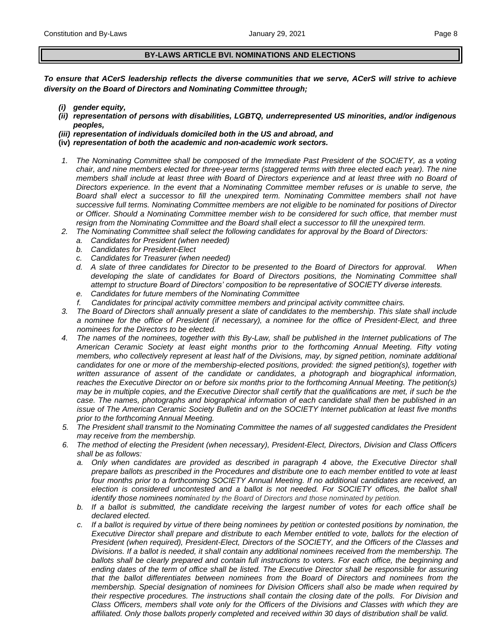#### **BY-LAWS ARTICLE BVI. NOMINATIONS AND ELECTIONS**

*To ensure that ACerS leadership reflects the diverse communities that we serve, ACerS will strive to achieve diversity on the Board of Directors and Nominating Committee through;*

- *(i) gender equity,*
- *(ii) representation of persons with disabilities, LGBTQ, underrepresented US minorities, and/or indigenous peoples,*
- *(iii) representation of individuals domiciled both in the US and abroad, and*
- **(iv)** *representation of both the academic and non-academic work sectors.*
- *1. The Nominating Committee shall be composed of the Immediate Past President of the SOCIETY, as a voting chair, and nine members elected for three-year terms (staggered terms with three elected each year). The nine*  members shall include at least three with Board of Directors experience and at least three with no Board of *Directors experience. In the event that a Nominating Committee member refuses or is unable to serve, the Board shall elect a successor to fill the unexpired term. Nominating Committee members shall not have successive full terms. Nominating Committee members are not eligible to be nominated for positions of Director or Officer. Should a Nominating Committee member wish to be considered for such office, that member must resign from the Nominating Committee and the Board shall elect a successor to fill the unexpired term.*
- *2. The Nominating Committee shall select the following candidates for approval by the Board of Directors:*
	- *a. Candidates for President (when needed)*
	- *b. Candidates for President-Elect*
	- *c. Candidates for Treasurer (when needed)*
	- *d. A slate of three candidates for Director to be presented to the Board of Directors for approval. When developing the slate of candidates for Board of Directors positions, the Nominating Committee shall attempt to structure Board of Directors' composition to be representative of SOCIETY diverse interests.*
	- *e. Candidates for future members of the Nominating Committee*
	- *f. Candidates for principal activity committee members and principal activity committee chairs.*
- *3. The Board of Directors shall annually present a slate of candidates to the membership. This slate shall include a nominee for the office of President (if necessary), a nominee for the office of President-Elect, and three nominees for the Directors to be elected.*
- *4. The names of the nominees, together with this By-Law, shall be published in the Internet publications of The American Ceramic Society at least eight months prior to the forthcoming Annual Meeting. Fifty voting members, who collectively represent at least half of the Divisions, may, by signed petition, nominate additional candidates for one or more of the membership-elected positions, provided: the signed petition(s), together with written assurance of assent of the candidate or candidates, a photograph and biographical information, reaches the Executive Director on or before six months prior to the forthcoming Annual Meeting. The petition(s) may be in multiple copies, and the Executive Director shall certify that the qualifications are met, if such be the case. The names, photographs and biographical information of each candidate shall then be published in an issue of The American Ceramic Society Bulletin and on the SOCIETY Internet publication at least five months prior to the forthcoming Annual Meeting.*
- *5. The President shall transmit to the Nominating Committee the names of all suggested candidates the President may receive from the membership.*
- *6. The method of electing the President (when necessary), President-Elect, Directors, Division and Class Officers shall be as follows:*
	- *a. Only when candidates are provided as described in paragraph 4 above, the Executive Director shall prepare ballots as prescribed in the Procedures and distribute one to each member entitled to vote at least four months prior to a forthcoming SOCIETY Annual Meeting. If no additional candidates are received, an election is considered uncontested and a ballot is not needed. For SOCIETY offices, the ballot shall identify those nominees nominated by the Board of Directors and those nominated by petition.*
	- *b. If a ballot is submitted, the candidate receiving the largest number of votes for each office shall be declared elected.*
	- *c. If a ballot is required by virtue of there being nominees by petition or contested positions by nomination, the Executive Director shall prepare and distribute to each Member entitled to vote, ballots for the election of President (when required), President-Elect, Directors of the SOCIETY, and the Officers of the Classes and Divisions. If a ballot is needed, it shall contain any additional nominees received from the membership. The ballots shall be clearly prepared and contain full instructions to voters. For each office, the beginning and ending dates of the term of office shall be listed. The Executive Director shall be responsible for assuring that the ballot differentiates between nominees from the Board of Directors and nominees from the membership. Special designation of nominees for Division Officers shall also be made when required by their respective procedures. The instructions shall contain the closing date of the polls. For Division and Class Officers, members shall vote only for the Officers of the Divisions and Classes with which they are affiliated. Only those ballots properly completed and received within 30 days of distribution shall be valid.*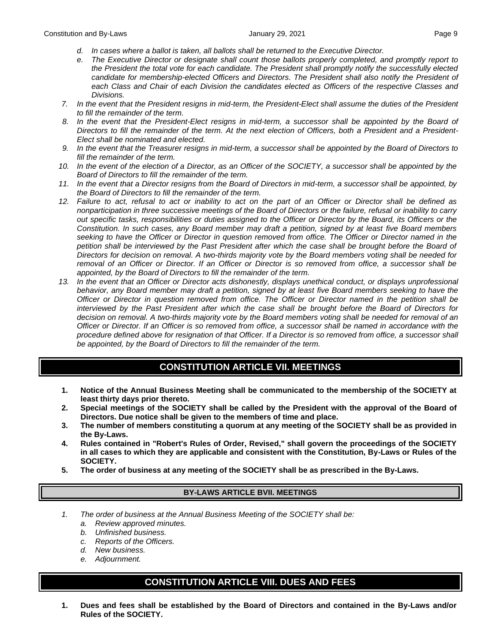- *d. In cases where a ballot is taken, all ballots shall be returned to the Executive Director.*
- *e. The Executive Director or designate shall count those ballots properly completed, and promptly report to the President the total vote for each candidate. The President shall promptly notify the successfully elected candidate for membership-elected Officers and Directors. The President shall also notify the President of each Class and Chair of each Division the candidates elected as Officers of the respective Classes and Divisions.*
- *7. In the event that the President resigns in mid-term, the President-Elect shall assume the duties of the President to fill the remainder of the term.*
- 8. In the event that the President-Elect resigns in mid-term, a successor shall be appointed by the Board of *Directors to fill the remainder of the term. At the next election of Officers, both a President and a President-Elect shall be nominated and elected.*
- *9. In the event that the Treasurer resigns in mid-term, a successor shall be appointed by the Board of Directors to fill the remainder of the term.*
- *10. In the event of the election of a Director, as an Officer of the SOCIETY, a successor shall be appointed by the Board of Directors to fill the remainder of the term.*
- *11. In the event that a Director resigns from the Board of Directors in mid-term, a successor shall be appointed, by the Board of Directors to fill the remainder of the term.*
- *12. Failure to act, refusal to act or inability to act on the part of an Officer or Director shall be defined as nonparticipation in three successive meetings of the Board of Directors or the failure, refusal or inability to carry out specific tasks, responsibilities or duties assigned to the Officer or Director by the Board, its Officers or the Constitution. In such cases, any Board member may draft a petition, signed by at least five Board members seeking to have the Officer or Director in question removed from office. The Officer or Director named in the petition shall be interviewed by the Past President after which the case shall be brought before the Board of Directors for decision on removal. A two-thirds majority vote by the Board members voting shall be needed for removal of an Officer or Director. If an Officer or Director is so removed from office, a successor shall be appointed, by the Board of Directors to fill the remainder of the term.*
- 13. In the event that an Officer or Director acts dishonestly, displays unethical conduct, or displays unprofessional *behavior, any Board member may draft a petition, signed by at least five Board members seeking to have the Officer or Director in question removed from office. The Officer or Director named in the petition shall be interviewed by the Past President after which the case shall be brought before the Board of Directors for decision on removal. A two-thirds majority vote by the Board members voting shall be needed for removal of an Officer or Director. If an Officer is so removed from office, a successor shall be named in accordance with the procedure defined above for resignation of that Officer. If a Director is so removed from office, a successor shall be appointed, by the Board of Directors to fill the remainder of the term.*

# **CONSTITUTION ARTICLE VII. MEETINGS**

- **1. Notice of the Annual Business Meeting shall be communicated to the membership of the SOCIETY at least thirty days prior thereto.**
- **2. Special meetings of the SOCIETY shall be called by the President with the approval of the Board of Directors. Due notice shall be given to the members of time and place.**
- **3. The number of members constituting a quorum at any meeting of the SOCIETY shall be as provided in the By-Laws.**
- **4. Rules contained in "Robert's Rules of Order, Revised," shall govern the proceedings of the SOCIETY in all cases to which they are applicable and consistent with the Constitution, By-Laws or Rules of the SOCIETY.**
- **5. The order of business at any meeting of the SOCIETY shall be as prescribed in the By-Laws.**

### **BY-LAWS ARTICLE BVII. MEETINGS**

- *1. The order of business at the Annual Business Meeting of the SOCIETY shall be:*
	- *a. Review approved minutes.*
	- *b. Unfinished business.*
	- *c. Reports of the Officers.*
	- *d. New business.*
	- *e. Adjournment.*

# **CONSTITUTION ARTICLE VIII. DUES AND FEES**

**1. Dues and fees shall be established by the Board of Directors and contained in the By-Laws and/or Rules of the SOCIETY.**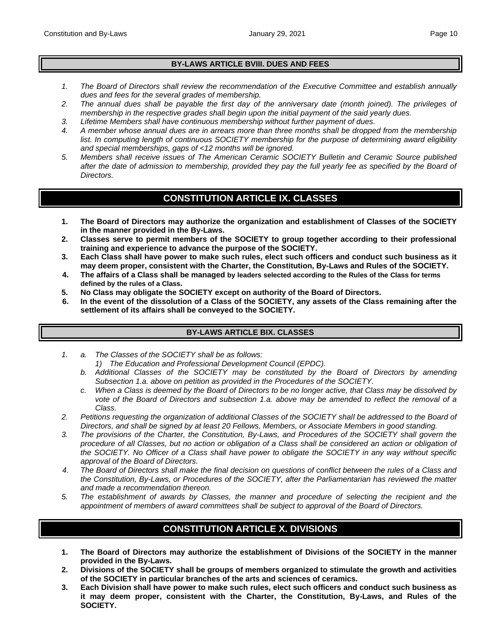## **BY-LAWS ARTICLE BVIII. DUES AND FEES**

- *1. The Board of Directors shall review the recommendation of the Executive Committee and establish annually dues and fees for the several grades of membership.*
- *2. The annual dues shall be payable the first day of the anniversary date (month joined). The privileges of membership in the respective grades shall begin upon the initial payment of the said yearly dues.*
- *3. Lifetime Members shall have continuous membership without further payment of dues.*
- *4. A member whose annual dues are in arrears more than three months shall be dropped from the membership list. In computing length of continuous SOCIETY membership for the purpose of determining award eligibility and special memberships, gaps of <12 months will be ignored.*
- *5. Members shall receive issues of The American Ceramic SOCIETY Bulletin and Ceramic Source published*  after the date of admission to membership, provided they pay the full yearly fee as specified by the Board of *Directors.*

# **CONSTITUTION ARTICLE IX. CLASSES**

- **1. The Board of Directors may authorize the organization and establishment of Classes of the SOCIETY in the manner provided in the By-Laws.**
- **2. Classes serve to permit members of the SOCIETY to group together according to their professional training and experience to advance the purpose of the SOCIETY.**
- **3. Each Class shall have power to make such rules, elect such officers and conduct such business as it may deem proper, consistent with the Charter, the Constitution, By-Laws and Rules of the SOCIETY.**
- **4. The affairs of a Class shall be managed by leaders selected according to the Rules of the Class for terms defined by the rules of a Class.**
- **5. No Class may obligate the SOCIETY except on authority of the Board of Directors.**
- **6. In the event of the dissolution of a Class of the SOCIETY, any assets of the Class remaining after the settlement of its affairs shall be conveyed to the SOCIETY.**

## **BY-LAWS ARTICLE BIX. CLASSES**

- *1. a. The Classes of the SOCIETY shall be as follows:*
	- *1) The Education and Professional Development Council (EPDC).*
	- *b. Additional Classes of the SOCIETY may be constituted by the Board of Directors by amending Subsection 1.a. above on petition as provided in the Procedures of the SOCIETY.*
	- *c. When a Class is deemed by the Board of Directors to be no longer active, that Class may be dissolved by vote of the Board of Directors and subsection 1.a. above may be amended to reflect the removal of a Class.*
- *2. Petitions requesting the organization of additional Classes of the SOCIETY shall be addressed to the Board of Directors, and shall be signed by at least 20 Fellows, Members, or Associate Members in good standing.*
- *3. The provisions of the Charter, the Constitution, By-Laws, and Procedures of the SOCIETY shall govern the procedure of all Classes, but no action or obligation of a Class shall be considered an action or obligation of the SOCIETY. No Officer of a Class shall have power to obligate the SOCIETY in any way without specific approval of the Board of Directors.*
- *4. The Board of Directors shall make the final decision on questions of conflict between the rules of a Class and the Constitution, By-Laws, or Procedures of the SOCIETY, after the Parliamentarian has reviewed the matter and made a recommendation thereon.*
- *5. The establishment of awards by Classes, the manner and procedure of selecting the recipient and the appointment of members of award committees shall be subject to approval of the Board of Directors.*

# **CONSTITUTION ARTICLE X. DIVISIONS**

- **1. The Board of Directors may authorize the establishment of Divisions of the SOCIETY in the manner provided in the By-Laws.**
- **2. Divisions of the SOCIETY shall be groups of members organized to stimulate the growth and activities of the SOCIETY in particular branches of the arts and sciences of ceramics.**
- **3. Each Division shall have power to make such rules, elect such officers and conduct such business as it may deem proper, consistent with the Charter, the Constitution, By-Laws, and Rules of the SOCIETY.**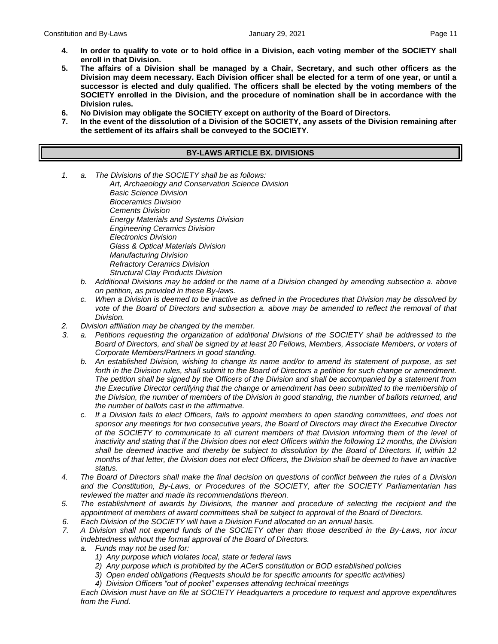- **4. In order to qualify to vote or to hold office in a Division, each voting member of the SOCIETY shall enroll in that Division.**
- **5. The affairs of a Division shall be managed by a Chair, Secretary, and such other officers as the Division may deem necessary. Each Division officer shall be elected for a term of one year, or until a successor is elected and duly qualified. The officers shall be elected by the voting members of the SOCIETY enrolled in the Division, and the procedure of nomination shall be in accordance with the Division rules.**
- **6. No Division may obligate the SOCIETY except on authority of the Board of Directors.**
- **7. In the event of the dissolution of a Division of the SOCIETY, any assets of the Division remaining after the settlement of its affairs shall be conveyed to the SOCIETY.**

#### **BY-LAWS ARTICLE BX. DIVISIONS**

*1. a. The Divisions of the SOCIETY shall be as follows:*

*Art, Archaeology and Conservation Science Division Basic Science Division Bioceramics Division Cements Division Energy Materials and Systems Division Engineering Ceramics Division Electronics Division Glass & Optical Materials Division Manufacturing Division Refractory Ceramics Division Structural Clay Products Division*

- *b. Additional Divisions may be added or the name of a Division changed by amending subsection a. above on petition, as provided in these By-laws.*
- *c. When a Division is deemed to be inactive as defined in the Procedures that Division may be dissolved by vote of the Board of Directors and subsection a. above may be amended to reflect the removal of that Division.*
- *2. Division affiliation may be changed by the member.*
- *3. a. Petitions requesting the organization of additional Divisions of the SOCIETY shall be addressed to the Board of Directors, and shall be signed by at least 20 Fellows, Members, Associate Members, or voters of Corporate Members/Partners in good standing.*
	- *b. An established Division, wishing to change its name and/or to amend its statement of purpose, as set forth in the Division rules, shall submit to the Board of Directors a petition for such change or amendment. The petition shall be signed by the Officers of the Division and shall be accompanied by a statement from the Executive Director certifying that the change or amendment has been submitted to the membership of the Division, the number of members of the Division in good standing, the number of ballots returned, and the number of ballots cast in the affirmative.*
	- *c. If a Division fails to elect Officers, fails to appoint members to open standing committees, and does not sponsor any meetings for two consecutive years, the Board of Directors may direct the Executive Director of the SOCIETY to communicate to all current members of that Division informing them of the level of inactivity and stating that if the Division does not elect Officers within the following 12 months, the Division shall be deemed inactive and thereby be subject to dissolution by the Board of Directors. If, within 12 months of that letter, the Division does not elect Officers, the Division shall be deemed to have an inactive status.*
- *4. The Board of Directors shall make the final decision on questions of conflict between the rules of a Division and the Constitution, By-Laws, or Procedures of the SOCIETY, after the SOCIETY Parliamentarian has reviewed the matter and made its recommendations thereon.*
- *5. The establishment of awards by Divisions, the manner and procedure of selecting the recipient and the appointment of members of award committees shall be subject to approval of the Board of Directors.*
- *6. Each Division of the SOCIETY will have a Division Fund allocated on an annual basis.*
- *7. A Division shall not expend funds of the SOCIETY other than those described in the By-Laws, nor incur indebtedness without the formal approval of the Board of Directors.*
	- *a. Funds may not be used for:*
		- *1) Any purpose which violates local, state or federal laws*
		- *2) Any purpose which is prohibited by the ACerS constitution or BOD established policies*
		- *3) Open ended obligations (Requests should be for specific amounts for specific activities)*
		- *4) Division Officers "out of pocket" expenses attending technical meetings*

*Each Division must have on file at SOCIETY Headquarters a procedure to request and approve expenditures from the Fund.*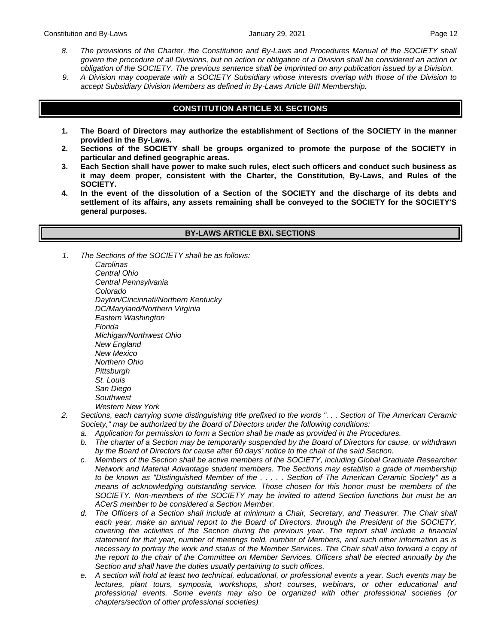- *8. The provisions of the Charter, the Constitution and By-Laws and Procedures Manual of the SOCIETY shall govern the procedure of all Divisions, but no action or obligation of a Division shall be considered an action or obligation of the SOCIETY. The previous sentence shall be imprinted on any publication issued by a Division.*
- *9. A Division may cooperate with a SOCIETY Subsidiary whose interests overlap with those of the Division to accept Subsidiary Division Members as defined in By-Laws Article BIII Membership.*

## **CONSTITUTION ARTICLE XI. SECTIONS**

- **1. The Board of Directors may authorize the establishment of Sections of the SOCIETY in the manner provided in the By-Laws.**
- **2. Sections of the SOCIETY shall be groups organized to promote the purpose of the SOCIETY in particular and defined geographic areas.**
- **3. Each Section shall have power to make such rules, elect such officers and conduct such business as it may deem proper, consistent with the Charter, the Constitution, By-Laws, and Rules of the SOCIETY.**
- **4. In the event of the dissolution of a Section of the SOCIETY and the discharge of its debts and settlement of its affairs, any assets remaining shall be conveyed to the SOCIETY for the SOCIETY'S general purposes.**

#### **BY-LAWS ARTICLE BXI. SECTIONS**

*1. The Sections of the SOCIETY shall be as follows: Carolinas [Central Ohio](https://ceramics.org/members/member-communities/sections/central-ohio)*

*[Central Pennsylvania](https://ceramics.org/members/member-communities/sections/central-pennsylvania) [Colorado](https://ceramics.org/members/member-communities/sections/colorado) [Dayton/Cincinnati/Northern Kentucky](https://ceramics.org/members/member-communities/sections/dayton-cincinnati-northern-kentucky) [DC/Maryland/Northern Virginia](https://ceramics.org/members/member-communities/sections/washington-dc-maryland-northern-virginia) [Eastern Washington](https://ceramics.org/members/member-communities/sections/eastern-washington) [Florida](https://ceramics.org/members/member-communities/sections/florida) [Michigan/Northwest Ohio](https://ceramics.org/members/member-communities/sections/michigan-and-northwest-ohio) [New England](https://ceramics.org/members/member-communities/sections/new-england) [New Mexico](https://ceramics.org/members/member-communities/sections/new-mexico) [Northern Ohio](https://ceramics.org/members/member-communities/sections/northern-ohio-2) [Pittsburgh](https://ceramics.org/members/member-communities/sections/pittsburgh) [St. Louis](https://ceramics.org/members/member-communities/sections/st-louis) [San Diego](https://ceramics.org/members/member-communities/sections/san-diego) [Southwest](https://ceramics.org/members/member-communities/sections/southwest) [Western New York](https://ceramics.org/members/member-communities/sections/western-new-york)*

- *2. Sections, each carrying some distinguishing title prefixed to the words ". . . Section of The American Ceramic Society," may be authorized by the Board of Directors under the following conditions:*
	- *a. Application for permission to form a Section shall be made as provided in the Procedures.*
	- *b. The charter of a Section may be temporarily suspended by the Board of Directors for cause, or withdrawn by the Board of Directors for cause after 60 days' notice to the chair of the said Section.*
	- *c. Members of the Section shall be active members of the SOCIETY, including Global Graduate Researcher Network and Material Advantage student members. The Sections may establish a grade of membership to be known as "Distinguished Member of the . . . . . Section of The American Ceramic Society" as a means of acknowledging outstanding service. Those chosen for this honor must be members of the SOCIETY. Non-members of the SOCIETY may be invited to attend Section functions but must be an ACerS member to be considered a Section Member.*
	- *d. The Officers of a Section shall include at minimum a Chair, Secretary, and Treasurer. The Chair shall each year, make an annual report to the Board of Directors, through the President of the SOCIETY, covering the activities of the Section during the previous year. The report shall include a financial statement for that year, number of meetings held, number of Members, and such other information as is necessary to portray the work and status of the Member Services. The Chair shall also forward a copy of the report to the chair of the Committee on Member Services. Officers shall be elected annually by the Section and shall have the duties usually pertaining to such offices.*
	- *e. A section will hold at least two technical, educational, or professional events a year. Such events may be lectures, plant tours, symposia, workshops, short courses, webinars, or other educational and professional events. Some events may also be organized with other professional societies (or chapters/section of other professional societies).*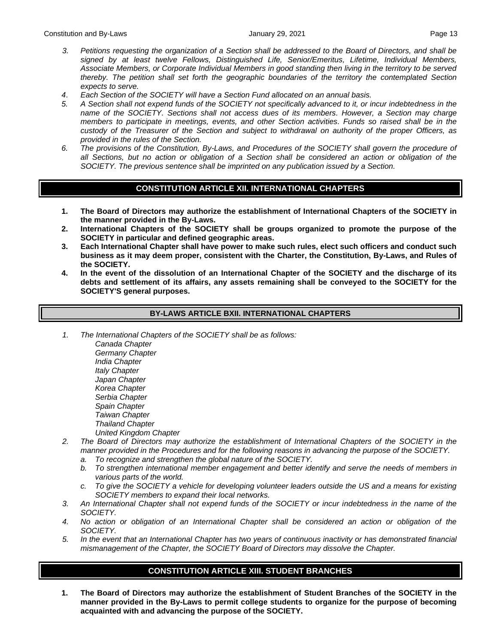- *3. Petitions requesting the organization of a Section shall be addressed to the Board of Directors, and shall be signed by at least twelve Fellows, Distinguished Life, Senior/Emeritus, Lifetime, Individual Members, Associate Members, or Corporate Individual Members in good standing then living in the territory to be served thereby. The petition shall set forth the geographic boundaries of the territory the contemplated Section expects to serve.*
- *4*. *Each Section of the SOCIETY will have a Section Fund allocated on an annual basis.*
- *5. A Section shall not expend funds of the SOCIETY not specifically advanced to it, or incur indebtedness in the name of the SOCIETY. Sections shall not access dues of its members. However, a Section may charge members to participate in meetings, events, and other Section activities. Funds so raised shall be in the custody of the Treasurer of the Section and subject to withdrawal on authority of the proper Officers, as provided in the rules of the Section.*
- *6. The provisions of the Constitution, By-Laws, and Procedures of the SOCIETY shall govern the procedure of all Sections, but no action or obligation of a Section shall be considered an action or obligation of the SOCIETY. The previous sentence shall be imprinted on any publication issued by a Section.*

## **CONSTITUTION ARTICLE XII. INTERNATIONAL CHAPTERS**

- **1. The Board of Directors may authorize the establishment of International Chapters of the SOCIETY in the manner provided in the By-Laws.**
- **2. International Chapters of the SOCIETY shall be groups organized to promote the purpose of the SOCIETY in particular and defined geographic areas.**
- **3. Each International Chapter shall have power to make such rules, elect such officers and conduct such business as it may deem proper, consistent with the Charter, the Constitution, By-Laws, and Rules of the SOCIETY.**
- **4. In the event of the dissolution of an International Chapter of the SOCIETY and the discharge of its debts and settlement of its affairs, any assets remaining shall be conveyed to the SOCIETY for the SOCIETY'S general purposes.**

#### **BY-LAWS ARTICLE BXII. INTERNATIONAL CHAPTERS**

*1. The International Chapters of the SOCIETY shall be as follows:*

*[Canada Chapter](https://ceramics.org/members/member-communities/international-chapters/canada-chapter) [Germany Chapter](https://ceramics.org/members/member-communities/international-chapters/germany-chapter) [India Chapter](https://ceramics.org/members/member-communities/international-chapters/india-chapter) [Italy Chapter](https://ceramics.org/members/member-communities/international-chapters/italy-chapter-2) Japan Chapter Korea Chapter [Serbia Chapter](https://ceramics.org/members/member-communities/international-chapters/serbia-chapter) [Spain Chapter](https://ceramics.org/spain-chapter) [Taiwan Chapter](https://ceramics.org/members/member-communities/international-chapters/taiwan-chapter) Thailand Chapter [United Kingdom Chapter](https://ceramics.org/members/member-communities/international-chapters/united-kingdom-chapter)*

- *2. The Board of Directors may authorize the establishment of International Chapters of the SOCIETY in the manner provided in the Procedures and for the following reasons in advancing the purpose of the SOCIETY.*
	- *a. To recognize and strengthen the global nature of the SOCIETY.*
	- *b. To strengthen international member engagement and better identify and serve the needs of members in various parts of the world.*
	- *c. To give the SOCIETY a vehicle for developing volunteer leaders outside the US and a means for existing SOCIETY members to expand their local networks.*
- *3. An International Chapter shall not expend funds of the SOCIETY or incur indebtedness in the name of the SOCIETY.*
- *4. No action or obligation of an International Chapter shall be considered an action or obligation of the SOCIETY.*
- *5. In the event that an International Chapter has two years of continuous inactivity or has demonstrated financial mismanagement of the Chapter, the SOCIETY Board of Directors may dissolve the Chapter.*

#### **CONSTITUTION ARTICLE XIII. STUDENT BRANCHES**

**1. The Board of Directors may authorize the establishment of Student Branches of the SOCIETY in the manner provided in the By-Laws to permit college students to organize for the purpose of becoming acquainted with and advancing the purpose of the SOCIETY.**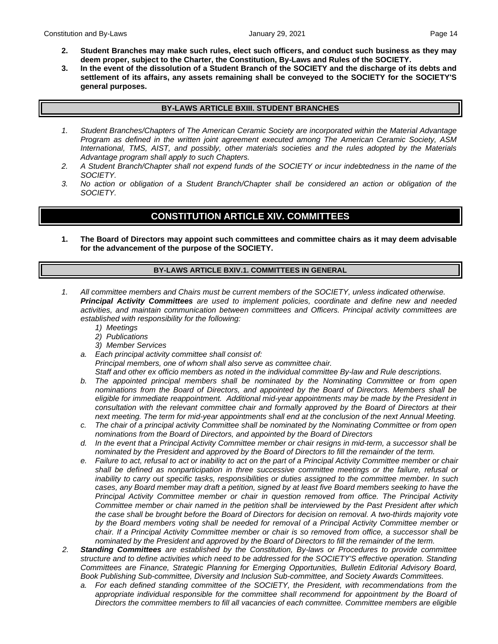- **2. Student Branches may make such rules, elect such officers, and conduct such business as they may deem proper, subject to the Charter, the Constitution, By-Laws and Rules of the SOCIETY.**
- **3. In the event of the dissolution of a Student Branch of the SOCIETY and the discharge of its debts and settlement of its affairs, any assets remaining shall be conveyed to the SOCIETY for the SOCIETY'S general purposes.**

#### **BY-LAWS ARTICLE BXIII. STUDENT BRANCHES**

- *1. Student Branches/Chapters of The American Ceramic Society are incorporated within the Material Advantage Program as defined in the written joint agreement executed among The American Ceramic Society, ASM International, TMS, AIST, and possibly, other materials societies and the rules adopted by the Materials Advantage program shall apply to such Chapters.*
- *2. A Student Branch/Chapter shall not expend funds of the SOCIETY or incur indebtedness in the name of the SOCIETY.*
- *3. No action or obligation of a Student Branch/Chapter shall be considered an action or obligation of the SOCIETY.*

# **CONSTITUTION ARTICLE XIV. COMMITTEES**

**1. The Board of Directors may appoint such committees and committee chairs as it may deem advisable for the advancement of the purpose of the SOCIETY.**

#### **BY-LAWS ARTICLE BXIV.1. COMMITTEES IN GENERAL**

- *1. All committee members and Chairs must be current members of the SOCIETY, unless indicated otherwise. Principal Activity Committees are used to implement policies, coordinate and define new and needed activities, and maintain communication between committees and Officers. Principal activity committees are established with responsibility for the following:*
	- *1) Meetings*
	- *2) Publications*
	- *3) Member Services*
	- *a. Each principal activity committee shall consist of: Principal members, one of whom shall also serve as committee chair.*

*Staff and other ex officio members as noted in the individual committee By-law and Rule descriptions.*

- *b. The appointed principal members shall be nominated by the Nominating Committee or from open nominations from the Board of Directors, and appointed by the Board of Directors. Members shall be eligible for immediate reappointment. Additional mid-year appointments may be made by the President in consultation with the relevant committee chair and formally approved by the Board of Directors at their next meeting. The term for mid-year appointments shall end at the conclusion of the next Annual Meeting.*
- *c. The chair of a principal activity Committee shall be nominated by the Nominating Committee or from open nominations from the Board of Directors, and appointed by the Board of Directors*
- *d. In the event that a Principal Activity Committee member or chair resigns in mid-term, a successor shall be nominated by the President and approved by the Board of Directors to fill the remainder of the term.*
- *e. Failure to act, refusal to act or inability to act on the part of a Principal Activity Committee member or chair shall be defined as nonparticipation in three successive committee meetings or the failure, refusal or inability to carry out specific tasks, responsibilities or duties assigned to the committee member. In such cases, any Board member may draft a petition, signed by at least five Board members seeking to have the Principal Activity Committee member or chair in question removed from office. The Principal Activity Committee member or chair named in the petition shall be interviewed by the Past President after which the case shall be brought before the Board of Directors for decision on removal. A two-thirds majority vote by the Board members voting shall be needed for removal of a Principal Activity Committee member or chair. If a Principal Activity Committee member or chair is so removed from office, a successor shall be nominated by the President and approved by the Board of Directors to fill the remainder of the term.*
- *2. Standing Committees are established by the Constitution, By-laws or Procedures to provide committee structure and to define activities which need to be addressed for the SOCIETY'S effective operation. Standing Committees are Finance, Strategic Planning for Emerging Opportunities, Bulletin Editorial Advisory Board, Book Publishing Sub-committee, Diversity and Inclusion Sub-committee, and Society Awards Committees.*
	- *a. For each defined standing committee of the SOCIETY, the President, with recommendations from the appropriate individual responsible for the committee shall recommend for appointment by the Board of Directors the committee members to fill all vacancies of each committee. Committee members are eligible*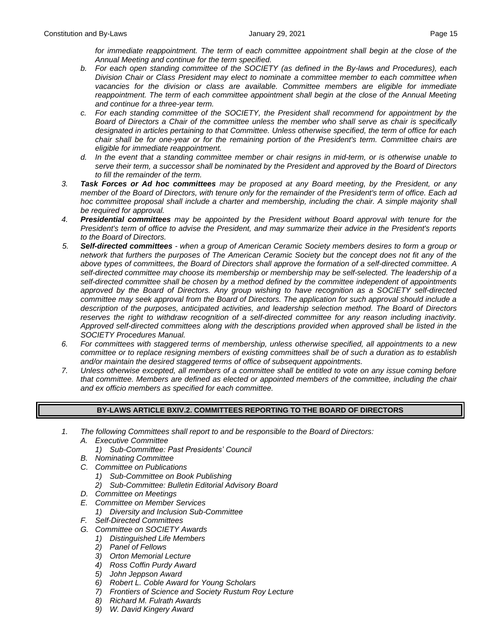for immediate reappointment. The term of each committee appointment shall begin at the close of the *Annual Meeting and continue for the term specified.*

- *b. For each open standing committee of the SOCIETY (as defined in the By-laws and Procedures), each Division Chair or Class President may elect to nominate a committee member to each committee when vacancies for the division or class are available. Committee members are eligible for immediate*  reappointment. The term of each committee appointment shall begin at the close of the Annual Meeting *and continue for a three-year term.*
- *c. For each standing committee of the SOCIETY, the President shall recommend for appointment by the Board of Directors a Chair of the committee unless the member who shall serve as chair is specifically designated in articles pertaining to that Committee. Unless otherwise specified, the term of office for each chair shall be for one-year or for the remaining portion of the President's term. Committee chairs are eligible for immediate reappointment.*
- *d. In the event that a standing committee member or chair resigns in mid-term, or is otherwise unable to serve their term, a successor shall be nominated by the President and approved by the Board of Directors to fill the remainder of the term.*
- *3. Task Forces or Ad hoc committees may be proposed at any Board meeting, by the President, or any member of the Board of Directors, with tenure only for the remainder of the President's term of office. Each ad hoc committee proposal shall include a charter and membership, including the chair. A simple majority shall be required for approval.*
- *4. Presidential committees may be appointed by the President without Board approval with tenure for the President's term of office to advise the President, and may summarize their advice in the President's reports to the Board of Directors.*
- *5. Self-directed committees - when a group of American Ceramic Society members desires to form a group or network that furthers the purposes of The American Ceramic Society but the concept does not fit any of the above types of committees, the Board of Directors shall approve the formation of a self-directed committee. A self-directed committee may choose its membership or membership may be self-selected. The leadership of a self-directed committee shall be chosen by a method defined by the committee independent of appointments approved by the Board of Directors. Any group wishing to have recognition as a SOCIETY self-directed committee may seek approval from the Board of Directors. The application for such approval should include a description of the purposes, anticipated activities, and leadership selection method. The Board of Directors reserves the right to withdraw recognition of a self-directed committee for any reason including inactivity. Approved self-directed committees along with the descriptions provided when approved shall be listed in the SOCIETY Procedures Manual.*
- *6. For committees with staggered terms of membership, unless otherwise specified, all appointments to a new committee or to replace resigning members of existing committees shall be of such a duration as to establish and/or maintain the desired staggered terms of office of subsequent appointments.*
- *7. Unless otherwise excepted, all members of a committee shall be entitled to vote on any issue coming before that committee. Members are defined as elected or appointed members of the committee, including the chair and ex officio members as specified for each committee.*

#### **BY-LAWS ARTICLE BXIV.2. COMMITTEES REPORTING TO THE BOARD OF DIRECTORS**

- *1. The following Committees shall report to and be responsible to the Board of Directors:*
	- *A. Executive Committee*
		- *1) Sub-Committee: Past Presidents' Council*
	- *B. Nominating Committee*
	- *C. Committee on Publications*
		- *1) Sub-Committee on Book Publishing*
		- *2) Sub-Committee: Bulletin Editorial Advisory Board*
	- *D. Committee on Meetings*
	- *E. Committee on Member Services*
		- *1) Diversity and Inclusion Sub-Committee*
	- *F. Self-Directed Committees*
	- *G. Committee on SOCIETY Awards*
		- *1) Distinguished Life Members*
		- *2) Panel of Fellows*
		- *3) Orton Memorial Lecture*
		- *4) Ross Coffin Purdy Award*
		- *5) John Jeppson Award*
		- *6) Robert L. Coble Award for Young Scholars*
		- *7) Frontiers of Science and Society Rustum Roy Lecture*
		- *8) Richard M. Fulrath Awards*
		- *9) W. David Kingery Award*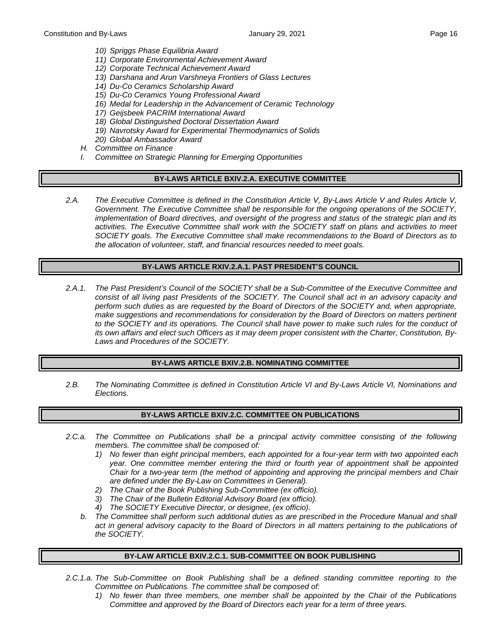- *10) Spriggs Phase Equilibria Award*
- *11) Corporate Environmental Achievement Award*
- *12) Corporate Technical Achievement Award*
- *13) Darshana and Arun Varshneya Frontiers of Glass Lectures*
- *14) Du-Co Ceramics Scholarship Award*
- *15) Du-Co Ceramics Young Professional Award*
- *16) Medal for Leadership in the Advancement of Ceramic Technology*
- *17) Geijsbeek PACRIM International Award*
- *18) Global Distinguished Doctoral Dissertation Award*
- *19) Navrotsky Award for Experimental Thermodynamics of Solids*
- *20) Global Ambassador Award*
- *H. Committee on Finance*
- *I. Committee on Strategic Planning for Emerging Opportunities*

#### **BY-LAWS ARTICLE BXIV.2.A. EXECUTIVE COMMITTEE**

*2.A. The Executive Committee is defined in the Constitution Article V, By-Laws Article V and Rules Article V, Government. The Executive Committee shall be responsible for the ongoing operations of the SOCIETY, implementation of Board directives, and oversight of the progress and status of the strategic plan and its activities. The Executive Committee shall work with the SOCIETY staff on plans and activities to meet SOCIETY goals. The Executive Committee shall make recommendations to the Board of Directors as to the allocation of volunteer, staff, and financial resources needed to meet goals.*

#### **BY-LAWS ARTICLE RXIV.2.A.1. PAST PRESIDENT'S COUNCIL**

*2.A.1. The Past President's Council of the SOCIETY shall be a Sub-Committee of the Executive Committee and consist of all living past Presidents of the SOCIETY. The Council shall act in an advisory capacity and perform such duties as are requested by the Board of Directors of the SOCIETY and, when appropriate, make suggestions and recommendations for consideration by the Board of Directors on matters pertinent to the SOCIETY and its operations. The Council shall have power to make such rules for the conduct of its own affairs and elect such Officers as it may deem proper consistent with the Charter, Constitution, By-Laws and Procedures of the SOCIETY.*

#### **BY-LAWS ARTICLE BXIV.2.B. NOMINATING COMMITTEE**

*2.B. The Nominating Committee is defined in Constitution Article VI and By-Laws Article VI, Nominations and Elections.*

#### **BY-LAWS ARTICLE BXIV.2.C. COMMITTEE ON PUBLICATIONS**

- *2.C.a. The Committee on Publications shall be a principal activity committee consisting of the following members. The committee shall be composed of:*
	- *1) No fewer than eight principal members, each appointed for a four-year term with two appointed each year. One committee member entering the third or fourth year of appointment shall be appointed Chair for a two-year term (the method of appointing and approving the principal members and Chair are defined under the By-Law on Committees in General).*
	- *2) The Chair of the Book Publishing Sub-Committee (ex officio).*
	- *3) The Chair of the Bulletin Editorial Advisory Board (ex officio).*
	- *4) The SOCIETY Executive Director, or designee, (ex officio).*
	- *b. The Committee shall perform such additional duties as are prescribed in the Procedure Manual and shall*  act in general advisory capacity to the Board of Directors in all matters pertaining to the publications of *the SOCIETY.*

#### **BY-LAW ARTICLE BXIV.2.C.1. SUB-COMMITTEE ON BOOK PUBLISHING**

- *2.C.1.a. The Sub-Committee on Book Publishing shall be a defined standing committee reporting to the Committee on Publications. The committee shall be composed of:*
	- *1) No fewer than three members, one member shall be appointed by the Chair of the Publications Committee and approved by the Board of Directors each year for a term of three years.*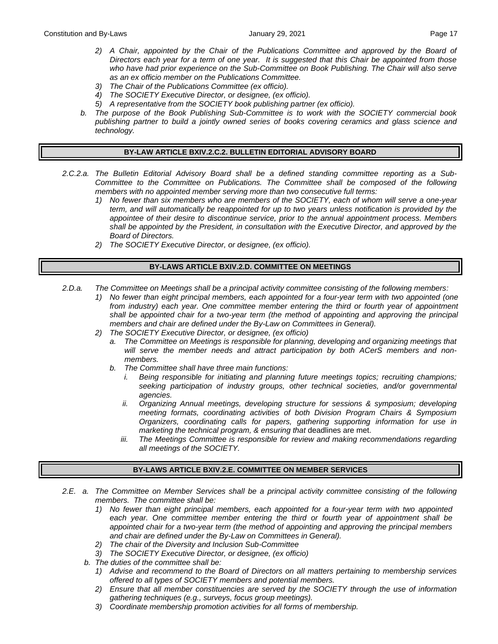- *2) A Chair, appointed by the Chair of the Publications Committee and approved by the Board of Directors each year for a term of one year. It is suggested that this Chair be appointed from those who have had prior experience on the Sub-Committee on Book Publishing. The Chair will also serve as an ex officio member on the Publications Committee.*
- *3) The Chair of the Publications Committee (ex officio).*
- *4) The SOCIETY Executive Director, or designee, (ex officio).*
- *5) A representative from the SOCIETY book publishing partner (ex officio).*
- *b. The purpose of the Book Publishing Sub-Committee is to work with the SOCIETY commercial book publishing partner to build a jointly owned series of books covering ceramics and glass science and technology.*

#### **BY-LAW ARTICLE BXIV.2.C.2. BULLETIN EDITORIAL ADVISORY BOARD**

- *2.C.2.a. The Bulletin Editorial Advisory Board shall be a defined standing committee reporting as a Sub-Committee to the Committee on Publications. The Committee shall be composed of the following members with no appointed member serving more than two consecutive full terms:*
	- *1) No fewer than six members who are members of the SOCIETY, each of whom will serve a one-year term, and will automatically be reappointed for up to two years unless notification is provided by the appointee of their desire to discontinue service, prior to the annual appointment process. Members shall be appointed by the President, in consultation with the Executive Director, and approved by the Board of Directors.*
	- *2) The SOCIETY Executive Director, or designee, (ex officio).*

#### **BY-LAWS ARTICLE BXIV.2.D. COMMITTEE ON MEETINGS**

- *2.D.a. The Committee on Meetings shall be a principal activity committee consisting of the following members:*
	- *1) No fewer than eight principal members, each appointed for a four-year term with two appointed (one from industry) each year. One committee member entering the third or fourth year of appointment shall be appointed chair for a two-year term (the method of appointing and approving the principal members and chair are defined under the By-Law on Committees in General).*
	- *2) The SOCIETY Executive Director, or designee, (ex officio)*
		- *a. The Committee on Meetings is responsible for planning, developing and organizing meetings that will serve the member needs and attract participation by both ACerS members and nonmembers.*
		- *b. The Committee shall have three main functions:*
			- *i. Being responsible for initiating and planning future meetings topics; recruiting champions; seeking participation of industry groups, other technical societies, and/or governmental agencies.*
			- *ii. Organizing Annual meetings, developing structure for sessions & symposium; developing meeting formats, coordinating activities of both Division Program Chairs & Symposium Organizers, coordinating calls for papers, gathering supporting information for use in marketing the technical program, & ensuring that deadlines are met.*
			- *iii. The Meetings Committee is responsible for review and making recommendations regarding all meetings of the SOCIETY.*

#### **BY-LAWS ARTICLE BXIV.2.E. COMMITTEE ON MEMBER SERVICES**

- *2.E. a. The Committee on Member Services shall be a principal activity committee consisting of the following members. The committee shall be:*
	- *1) No fewer than eight principal members, each appointed for a four-year term with two appointed each year. One committee member entering the third or fourth year of appointment shall be appointed chair for a two-year term (the method of appointing and approving the principal members and chair are defined under the By-Law on Committees in General).*
	- *2) The chair of the Diversity and Inclusion Sub-Committee*
	- *3) The SOCIETY Executive Director, or designee, (ex officio)*
	- *b. The duties of the committee shall be:*
		- *1) Advise and recommend to the Board of Directors on all matters pertaining to membership services offered to all types of SOCIETY members and potential members.*
		- *2) Ensure that all member constituencies are served by the SOCIETY through the use of information gathering techniques (e.g., surveys, focus group meetings).*
		- *3) Coordinate membership promotion activities for all forms of membership.*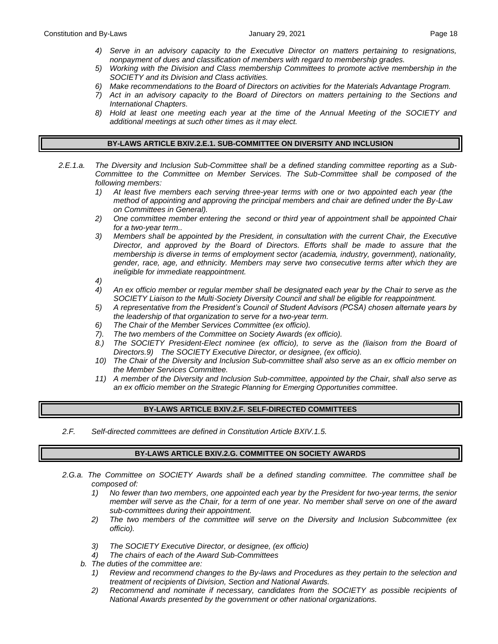- *4) Serve in an advisory capacity to the Executive Director on matters pertaining to resignations, nonpayment of dues and classification of members with regard to membership grades.*
- *5) Working with the Division and Class membership Committees to promote active membership in the SOCIETY and its Division and Class activities.*
- *6) Make recommendations to the Board of Directors on activities for the Materials Advantage Program.*
- *7) Act in an advisory capacity to the Board of Directors on matters pertaining to the Sections and International Chapters.*
- *8) Hold at least one meeting each year at the time of the Annual Meeting of the SOCIETY and additional meetings at such other times as it may elect.*

#### **BY-LAWS ARTICLE BXIV.2.E.1. SUB-COMMITTEE ON DIVERSITY AND INCLUSION**

- *2.E.1.a. The Diversity and Inclusion Sub-Committee shall be a defined standing committee reporting as a Sub-Committee to the Committee on Member Services. The Sub-Committee shall be composed of the following members:* 
	- *1) At least five members each serving three-year terms with one or two appointed each year (the method of appointing and approving the principal members and chair are defined under the By-Law on Committees in General).*
	- *2) One committee member entering the second or third year of appointment shall be appointed Chair for a two-year term..*
	- *3) Members shall be appointed by the President, in consultation with the current Chair, the Executive Director, and approved by the Board of Directors. Efforts shall be made to assure that the membership is diverse in terms of employment sector (academia, industry, government), nationality, gender, race, age, and ethnicity. Members may serve two consecutive terms after which they are ineligible for immediate reappointment.*
	- *4)*
	- *4) An ex officio member or regular member shall be designated each year by the Chair to serve as the SOCIETY Liaison to the Multi*‐*Society Diversity Council and shall be eligible for reappointment.*
	- *5) A representative from the President's Council of Student Advisors (PCSA) chosen alternate years by the leadership of that organization to serve for a two-year term.*
	- *6) The Chair of the Member Services Committee (ex officio).*
	- *7). The two members of the Committee on Society Awards (ex officio).*
	- *8.) The SOCIETY President-Elect nominee (ex officio), to serve as the (liaison from the Board of Directors.9) The SOCIETY Executive Director, or designee, (ex officio).*
	- *10) The Chair of the Diversity and Inclusion Sub-committee shall also serve as an ex officio member on the Member Services Committee.*
	- *11) A member of the Diversity and Inclusion Sub-committee, appointed by the Chair, shall also serve as an ex officio member on the Strategic Planning for Emerging Opportunities committee.*

#### **BY-LAWS ARTICLE BXIV.2.F. SELF-DIRECTED COMMITTEES**

*2.F. Self-directed committees are defined in Constitution Article BXIV.1.5.*

#### **BY-LAWS ARTICLE BXIV.2.G. COMMITTEE ON SOCIETY AWARDS**

- *2.G.a. The Committee on SOCIETY Awards shall be a defined standing committee. The committee shall be composed of:*
	- *1) No fewer than two members, one appointed each year by the President for two-year terms, the senior member will serve as the Chair, for a term of one year. No member shall serve on one of the award sub-committees during their appointment.*
	- *2) The two members of the committee will serve on the Diversity and Inclusion Subcommittee (ex officio).*
	- *3) The SOCIETY Executive Director, or designee, (ex officio)*
	- *4) The chairs of each of the Award Sub-Committees*
	- *b. The duties of the committee are:*
		- *1) Review and recommend changes to the By-laws and Procedures as they pertain to the selection and treatment of recipients of Division, Section and National Awards.*
		- *2) Recommend and nominate if necessary, candidates from the SOCIETY as possible recipients of National Awards presented by the government or other national organizations.*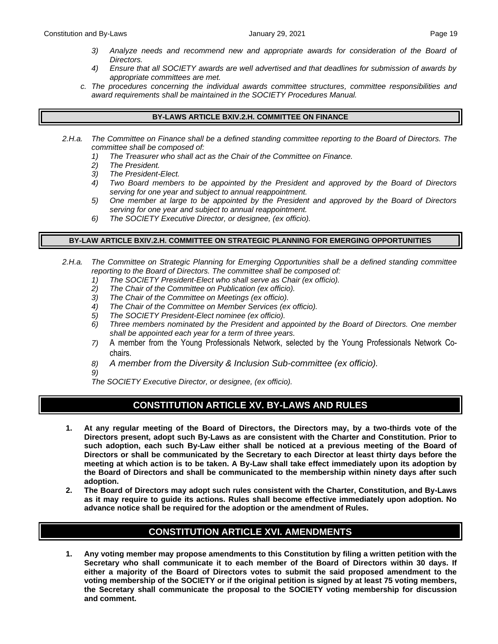- *3) Analyze needs and recommend new and appropriate awards for consideration of the Board of Directors.*
- *4) Ensure that all SOCIETY awards are well advertised and that deadlines for submission of awards by appropriate committees are met.*
- *c. The procedures concerning the individual awards committee structures, committee responsibilities and award requirements shall be maintained in the SOCIETY Procedures Manual.*

#### **BY-LAWS ARTICLE BXIV.2.H. COMMITTEE ON FINANCE**

- *2.H.a. The Committee on Finance shall be a defined standing committee reporting to the Board of Directors. The committee shall be composed of:*
	- *1) The Treasurer who shall act as the Chair of the Committee on Finance.*
	- *2) The President.*
	- *3) The President-Elect.*
	- *4) Two Board members to be appointed by the President and approved by the Board of Directors serving for one year and subject to annual reappointment.*
	- *5) One member at large to be appointed by the President and approved by the Board of Directors serving for one year and subject to annual reappointment.*
	- *6) The SOCIETY Executive Director, or designee, (ex officio).*

#### **BY-LAW ARTICLE BXIV.2.H. COMMITTEE ON STRATEGIC PLANNING FOR EMERGING OPPORTUNITIES**

- *2.H.a. The Committee on Strategic Planning for Emerging Opportunities shall be a defined standing committee reporting to the Board of Directors. The committee shall be composed of:*
	- *1) The SOCIETY President-Elect who shall serve as Chair (ex officio).*
	- *2) The Chair of the Committee on Publication (ex officio).*
	- *3) The Chair of the Committee on Meetings (ex officio).*
	- *4) The Chair of the Committee on Member Services (ex officio).*
	- *5) The SOCIETY President-Elect nominee (ex officio).*
	- *6) Three members nominated by the President and appointed by the Board of Directors. One member shall be appointed each year for a term of three years.*
	- *7)* A member from the Young Professionals Network, selected by the Young Professionals Network Cochairs.
	- *8) A member from the Diversity & Inclusion Sub-committee (ex officio).*
	- *9)*
	- *The SOCIETY Executive Director, or designee, (ex officio).*

# **CONSTITUTION ARTICLE XV. BY-LAWS AND RULES**

- **1. At any regular meeting of the Board of Directors, the Directors may, by a two-thirds vote of the Directors present, adopt such By-Laws as are consistent with the Charter and Constitution. Prior to such adoption, each such By-Law either shall be noticed at a previous meeting of the Board of Directors or shall be communicated by the Secretary to each Director at least thirty days before the meeting at which action is to be taken. A By-Law shall take effect immediately upon its adoption by the Board of Directors and shall be communicated to the membership within ninety days after such adoption.**
- **2. The Board of Directors may adopt such rules consistent with the Charter, Constitution, and By-Laws as it may require to guide its actions. Rules shall become effective immediately upon adoption. No advance notice shall be required for the adoption or the amendment of Rules.**

# **CONSTITUTION ARTICLE XVI. AMENDMENTS**

**1. Any voting member may propose amendments to this Constitution by filing a written petition with the Secretary who shall communicate it to each member of the Board of Directors within 30 days. If either a majority of the Board of Directors votes to submit the said proposed amendment to the voting membership of the SOCIETY or if the original petition is signed by at least 75 voting members, the Secretary shall communicate the proposal to the SOCIETY voting membership for discussion and comment.**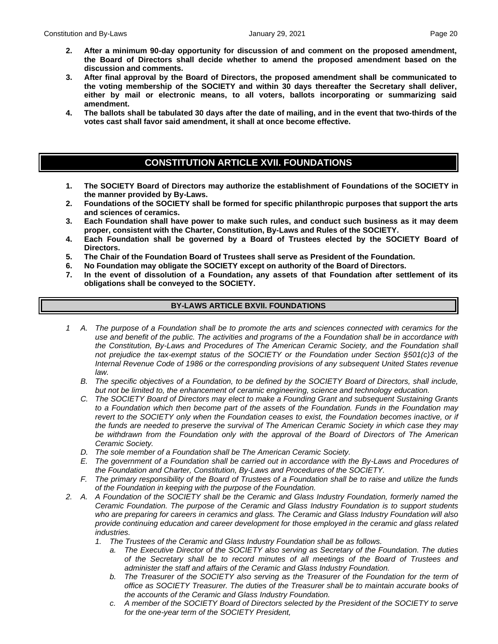- **2. After a minimum 90-day opportunity for discussion of and comment on the proposed amendment, the Board of Directors shall decide whether to amend the proposed amendment based on the discussion and comments.**
- **3. After final approval by the Board of Directors, the proposed amendment shall be communicated to the voting membership of the SOCIETY and within 30 days thereafter the Secretary shall deliver, either by mail or electronic means, to all voters, ballots incorporating or summarizing said amendment.**
- **4. The ballots shall be tabulated 30 days after the date of mailing, and in the event that two-thirds of the votes cast shall favor said amendment, it shall at once become effective.**

# **CONSTITUTION ARTICLE XVII. FOUNDATIONS**

- **1. The SOCIETY Board of Directors may authorize the establishment of Foundations of the SOCIETY in the manner provided by By-Laws.**
- **2. Foundations of the SOCIETY shall be formed for specific philanthropic purposes that support the arts and sciences of ceramics.**
- **3. Each Foundation shall have power to make such rules, and conduct such business as it may deem proper, consistent with the Charter, Constitution, By-Laws and Rules of the SOCIETY.**
- **4. Each Foundation shall be governed by a Board of Trustees elected by the SOCIETY Board of Directors.**
- **5. The Chair of the Foundation Board of Trustees shall serve as President of the Foundation.**
- **6. No Foundation may obligate the SOCIETY except on authority of the Board of Directors.**
- **7. In the event of dissolution of a Foundation, any assets of that Foundation after settlement of its obligations shall be conveyed to the SOCIETY.**

## **BY-LAWS ARTICLE BXVII. FOUNDATIONS**

- *1 A. The purpose of a Foundation shall be to promote the arts and sciences connected with ceramics for the use and benefit of the public. The activities and programs of the a Foundation shall be in accordance with the Constitution, By-Laws and Procedures of The American Ceramic Society, and the Foundation shall not prejudice the tax-exempt status of the SOCIETY or the Foundation under Section §501(c)3 of the Internal Revenue Code of 1986 or the corresponding provisions of any subsequent United States revenue law.*
	- *B. The specific objectives of a Foundation, to be defined by the SOCIETY Board of Directors, shall include, but not be limited to, the enhancement of ceramic engineering, science and technology education.*
	- *C. The SOCIETY Board of Directors may elect to make a Founding Grant and subsequent Sustaining Grants to a Foundation which then become part of the assets of the Foundation. Funds in the Foundation may revert to the SOCIETY only when the Foundation ceases to exist, the Foundation becomes inactive, or if the funds are needed to preserve the survival of The American Ceramic Society in which case they may be withdrawn from the Foundation only with the approval of the Board of Directors of The American Ceramic Society.*
	- *D. The sole member of a Foundation shall be The American Ceramic Society.*
	- *E. The government of a Foundation shall be carried out in accordance with the By-Laws and Procedures of the Foundation and Charter, Constitution, By-Laws and Procedures of the SOCIETY.*
	- *F. The primary responsibility of the Board of Trustees of a Foundation shall be to raise and utilize the funds of the Foundation in keeping with the purpose of the Foundation.*
- *2. A. A Foundation of the SOCIETY shall be the Ceramic and Glass Industry Foundation, formerly named the Ceramic Foundation. The purpose of the Ceramic and Glass Industry Foundation is to support students who are preparing for careers in ceramics and glass. The Ceramic and Glass Industry Foundation will also provide continuing education and career development for those employed in the ceramic and glass related industries.*
	- *1. The Trustees of the Ceramic and Glass Industry Foundation shall be as follows.*
		- *a. The Executive Director of the SOCIETY also serving as Secretary of the Foundation. The duties of the Secretary shall be to record minutes of all meetings of the Board of Trustees and administer the staff and affairs of the Ceramic and Glass Industry Foundation.*
		- *b. The Treasurer of the SOCIETY also serving as the Treasurer of the Foundation for the term of office as SOCIETY Treasurer. The duties of the Treasurer shall be to maintain accurate books of the accounts of the Ceramic and Glass Industry Foundation.*
		- *c. A member of the SOCIETY Board of Directors selected by the President of the SOCIETY to serve for the one-year term of the SOCIETY President,*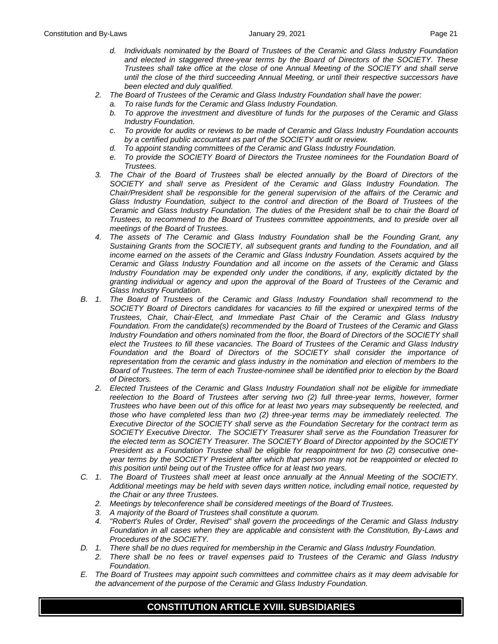- *d. Individuals nominated by the Board of Trustees of the Ceramic and Glass Industry Foundation and elected in staggered three-year terms by the Board of Directors of the SOCIETY. These Trustees shall take office at the close of one Annual Meeting of the SOCIETY and shall serve until the close of the third succeeding Annual Meeting, or until their respective successors have been elected and duly qualified.*
- *2. The Board of Trustees of the Ceramic and Glass Industry Foundation shall have the power:*
	- *a. To raise funds for the Ceramic and Glass Industry Foundation.*
	- *b. To approve the investment and divestiture of funds for the purposes of the Ceramic and Glass Industry Foundation.*
	- *c. To provide for audits or reviews to be made of Ceramic and Glass Industry Foundation accounts by a certified public accountant as part of the SOCIETY audit or review.*
	- *d. To appoint standing committees of the Ceramic and Glass Industry Foundation.*
	- *e. To provide the SOCIETY Board of Directors the Trustee nominees for the Foundation Board of Trustees.*
- *3. The Chair of the Board of Trustees shall be elected annually by the Board of Directors of the SOCIETY and shall serve as President of the Ceramic and Glass Industry Foundation. The Chair/President shall be responsible for the general supervision of the affairs of the Ceramic and Glass Industry Foundation, subject to the control and direction of the Board of Trustees of the Ceramic and Glass Industry Foundation. The duties of the President shall be to chair the Board of Trustees, to recommend to the Board of Trustees committee appointments, and to preside over all meetings of the Board of Trustees.*
- *4. The assets of The Ceramic and Glass Industry Foundation shall be the Founding Grant, any Sustaining Grants from the SOCIETY, all subsequent grants and funding to the Foundation, and all income earned on the assets of the Ceramic and Glass Industry Foundation. Assets acquired by the Ceramic and Glass Industry Foundation and all income on the assets of the Ceramic and Glass Industry Foundation may be expended only under the conditions, if any, explicitly dictated by the granting individual or agency and upon the approval of the Board of Trustees of the Ceramic and Glass Industry Foundation.*
- *B. 1. The Board of Trustees of the Ceramic and Glass Industry Foundation shall recommend to the SOCIETY Board of Directors candidates for vacancies to fill the expired or unexpired terms of the Trustees, Chair, Chair-Elect, and Immediate Past Chair of the Ceramic and Glass Industry Foundation. From the candidate(s) recommended by the Board of Trustees of the Ceramic and Glass Industry Foundation and others nominated from the floor, the Board of Directors of the SOCIETY shall elect the Trustees to fill these vacancies. The Board of Trustees of the Ceramic and Glass Industry*  Foundation and the Board of Directors of the SOCIETY shall consider the importance of *representation from the ceramic and glass industry in the nomination and election of members to the Board of Trustees. The term of each Trustee-nominee shall be identified prior to election by the Board of Directors.*
	- *2. Elected Trustees of the Ceramic and Glass Industry Foundation shall not be eligible for immediate reelection to the Board of Trustees after serving two (2) full three-year terms, however, former Trustees who have been out of this office for at least two years may subsequently be reelected, and those who have completed less than two (2) three-year terms may be immediately reelected. The Executive Director of the SOCIETY shall serve as the Foundation Secretary for the contract term as SOCIETY Executive Director. The SOCIETY Treasurer shall serve as the Foundation Treasurer for the elected term as SOCIETY Treasurer. The SOCIETY Board of Director appointed by the SOCIETY President as a Foundation Trustee shall be eligible for reappointment for two (2) consecutive oneyear terms by the SOCIETY President after which that person may not be reappointed or elected to this position until being out of the Trustee office for at least two years.*
- *C. 1. The Board of Trustees shall meet at least once annually at the Annual Meeting of the SOCIETY. Additional meetings may be held with seven days written notice, including email notice, requested by the Chair or any three Trustees.*
	- *2. Meetings by teleconference shall be considered meetings of the Board of Trustees.*
	- *3. A majority of the Board of Trustees shall constitute a quorum.*
	- *4. "Robert's Rules of Order, Revised" shall govern the proceedings of the Ceramic and Glass Industry Foundation in all cases when they are applicable and consistent with the Constitution, By-Laws and Procedures of the SOCIETY.*
- *D. 1. There shall be no dues required for membership in the Ceramic and Glass Industry Foundation.*
	- *2. There shall be no fees or travel expenses paid to Trustees of the Ceramic and Glass Industry Foundation.*
- *E. The Board of Trustees may appoint such committees and committee chairs as it may deem advisable for the advancement of the purpose of the Ceramic and Glass Industry Foundation.*

## **CONSTITUTION ARTICLE XVIII. SUBSIDIARIES**